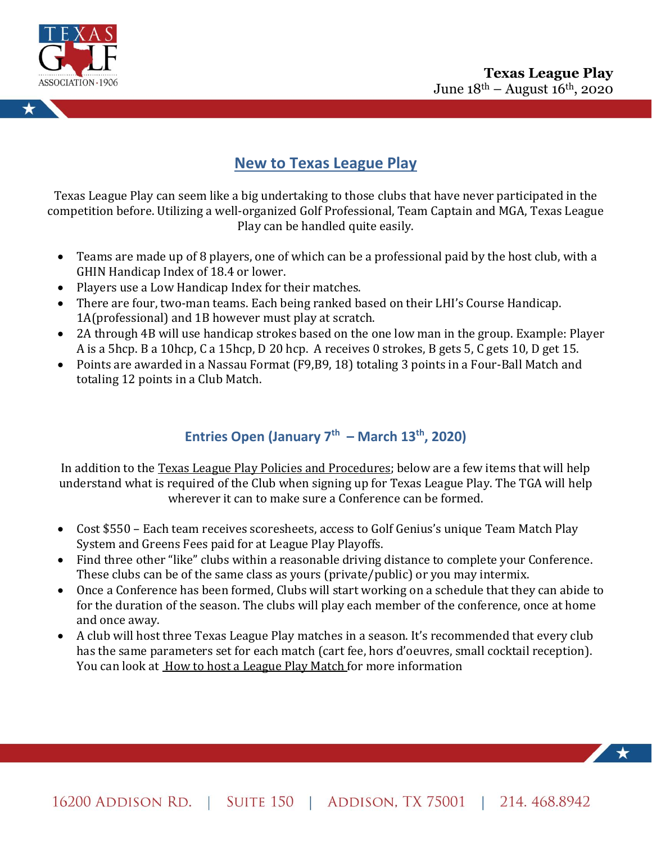



# **New to Texas League Play**

Texas League Play can seem like a big undertaking to those clubs that have never participated in the competition before. Utilizing a well-organized Golf Professional, Team Captain and MGA, Texas League Play can be handled quite easily.

- Teams are made up of 8 players, one of which can be a professional paid by the host club, with a GHIN Handicap Index of 18.4 or lower.
- Players use a Low Handicap Index for their matches.
- There are four, two-man teams. Each being ranked based on their LHI's Course Handicap. 1A(professional) and 1B however must play at scratch.
- 2A through 4B will use handicap strokes based on the one low man in the group. Example: Player A is a 5hcp. B a 10hcp, C a 15hcp, D 20 hcp. A receives 0 strokes, B gets 5, C gets 10, D get 15.
- Points are awarded in a Nassau Format (F9,B9, 18) totaling 3 points in a Four-Ball Match and totaling 12 points in a Club Match.

## **Entries Open (January 7th – March 13 th, 2020)**

In addition to the Texas League Play Policies and Procedures; below are a few items that will help understand what is required of the Club when signing up for Texas League Play. The TGA will help wherever it can to make sure a Conference can be formed.

- Cost \$550 Each team receives scoresheets, access to Golf Genius's unique Team Match Play System and Greens Fees paid for at League Play Playoffs.
- Find three other "like" clubs within a reasonable driving distance to complete your Conference. These clubs can be of the same class as yours (private/public) or you may intermix.
- Once a Conference has been formed, Clubs will start working on a schedule that they can abide to for the duration of the season. The clubs will play each member of the conference, once at home and once away.
- A club will host three Texas League Play matches in a season. It's recommended that every club has the same parameters set for each match (cart fee, hors d'oeuvres, small cocktail reception). You can look at How to host a League Play Match for more information